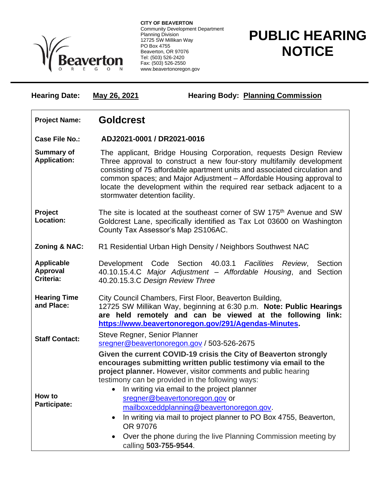

**CITY OF BEAVERTON** Community Development Department Planning Division 12725 SW Millikan Way PO Box 4755 Beaverton, OR 97076 Tel: (503) 526-2420 Fax: (503) 526-2550 www.beavertonoregon.gov

## **PUBLIC HEARING NOTICE**

| <b>Hearing Date:</b>                              | <b>Hearing Body: Planning Commission</b><br>May 26, 2021                                                                                                                                                                                                                                                                                                                                                                                                                                         |  |
|---------------------------------------------------|--------------------------------------------------------------------------------------------------------------------------------------------------------------------------------------------------------------------------------------------------------------------------------------------------------------------------------------------------------------------------------------------------------------------------------------------------------------------------------------------------|--|
| <b>Project Name:</b>                              | <b>Goldcrest</b>                                                                                                                                                                                                                                                                                                                                                                                                                                                                                 |  |
| <b>Case File No.:</b>                             | ADJ2021-0001 / DR2021-0016                                                                                                                                                                                                                                                                                                                                                                                                                                                                       |  |
| <b>Summary of</b><br><b>Application:</b>          | The applicant, Bridge Housing Corporation, requests Design Review<br>Three approval to construct a new four-story multifamily development<br>consisting of 75 affordable apartment units and associated circulation and<br>common spaces; and Major Adjustment - Affordable Housing approval to<br>locate the development within the required rear setback adjacent to a<br>stormwater detention facility.                                                                                       |  |
| Project<br>Location:                              | The site is located at the southeast corner of SW 175 <sup>th</sup> Avenue and SW<br>Goldcrest Lane, specifically identified as Tax Lot 03600 on Washington<br>County Tax Assessor's Map 2S106AC.                                                                                                                                                                                                                                                                                                |  |
| Zoning & NAC:                                     | R1 Residential Urban High Density / Neighbors Southwest NAC                                                                                                                                                                                                                                                                                                                                                                                                                                      |  |
| <b>Applicable</b><br><b>Approval</b><br>Criteria: | Development Code Section 40.03.1 Facilities Review,<br>Section<br>40.10.15.4.C Major Adjustment - Affordable Housing, and Section<br>40.20.15.3.C Design Review Three                                                                                                                                                                                                                                                                                                                            |  |
| <b>Hearing Time</b><br>and Place:                 | City Council Chambers, First Floor, Beaverton Building,<br>12725 SW Millikan Way, beginning at 6:30 p.m. Note: Public Hearings<br>are held remotely and can be viewed at the following link:<br>https://www.beavertonoregon.gov/291/Agendas-Minutes                                                                                                                                                                                                                                              |  |
| <b>Staff Contact:</b>                             | Steve Regner, Senior Planner<br>sregner@beavertonoregon.gov / 503-526-2675                                                                                                                                                                                                                                                                                                                                                                                                                       |  |
| How to<br>Participate:                            | Given the current COVID-19 crisis the City of Beaverton strongly<br>encourages submitting written public testimony via email to the<br>project planner. However, visitor comments and public hearing<br>testimony can be provided in the following ways:<br>In writing via email to the project planner<br>$\bullet$<br>sregner@beavertonoregon.gov or<br>mailboxceddplanning@beavertonoregon.gov.<br>In writing via mail to project planner to PO Box 4755, Beaverton,<br>$\bullet$<br>OR 97076 |  |
|                                                   | Over the phone during the live Planning Commission meeting by<br>$\bullet$<br>calling 503-755-9544.                                                                                                                                                                                                                                                                                                                                                                                              |  |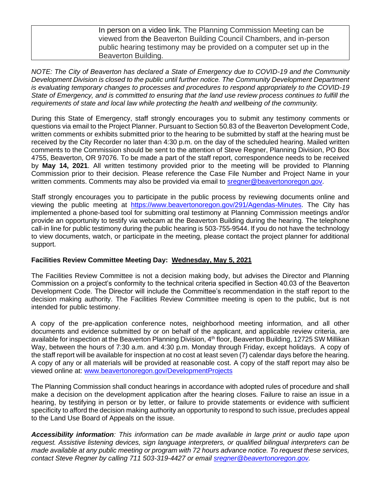In person on a video link. The Planning Commission Meeting can be viewed from the Beaverton Building Council Chambers, and in-person public hearing testimony may be provided on a computer set up in the Beaverton Building.

*NOTE: The City of Beaverton has declared a State of Emergency due to COVID-19 and the Community Development Division is closed to the public until further notice. The Community Development Department is evaluating temporary changes to processes and procedures to respond appropriately to the COVID-19 State of Emergency, and is committed to ensuring that the land use review process continues to fulfill the requirements of state and local law while protecting the health and wellbeing of the community.*

During this State of Emergency, staff strongly encourages you to submit any testimony comments or questions via email to the Project Planner. Pursuant to Section 50.83 of the Beaverton Development Code, written comments or exhibits submitted prior to the hearing to be submitted by staff at the hearing must be received by the City Recorder no later than 4:30 p.m. on the day of the scheduled hearing. Mailed written comments to the Commission should be sent to the attention of Steve Regner, Planning Division, PO Box 4755, Beaverton, OR 97076. To be made a part of the staff report, correspondence needs to be received by **May 14, 2021**. All written testimony provided prior to the meeting will be provided to Planning Commission prior to their decision. Please reference the Case File Number and Project Name in your written comments. Comments may also be provided via email to [sregner@beavertonoregon.gov.](mailto:sregner@beavertonoregon.gov)

Staff strongly encourages you to participate in the public process by reviewing documents online and viewing the public meeting at [https://www.beavertonoregon.gov/291/Agendas-Minutes.](https://www.beavertonoregon.gov/291/Agendas-Minutes) The City has implemented a phone-based tool for submitting oral testimony at Planning Commission meetings and/or provide an opportunity to testify via webcam at the Beaverton Building during the hearing. The telephone call-in line for public testimony during the public hearing is 503-755-9544. If you do not have the technology to view documents, watch, or participate in the meeting, please contact the project planner for additional support.

## **Facilities Review Committee Meeting Day: Wednesday, May 5, 2021**

The Facilities Review Committee is not a decision making body, but advises the Director and Planning Commission on a project's conformity to the technical criteria specified in Section 40.03 of the Beaverton Development Code. The Director will include the Committee's recommendation in the staff report to the decision making authority. The Facilities Review Committee meeting is open to the public, but is not intended for public testimony.

A copy of the pre-application conference notes, neighborhood meeting information, and all other documents and evidence submitted by or on behalf of the applicant, and applicable review criteria, are available for inspection at the Beaverton Planning Division, 4<sup>th</sup> floor, Beaverton Building, 12725 SW Millikan Way, between the hours of 7:30 a.m. and 4:30 p.m. Monday through Friday, except holidays. A copy of the staff report will be available for inspection at no cost at least seven (7) calendar days before the hearing. A copy of any or all materials will be provided at reasonable cost. A copy of the staff report may also be viewed online at: [www.beavertonoregon.gov/DevelopmentProjects](http://www.beavertonoregon.gov/DevelopmentProjects)

The Planning Commission shall conduct hearings in accordance with adopted rules of procedure and shall make a decision on the development application after the hearing closes. Failure to raise an issue in a hearing, by testifying in person or by letter, or failure to provide statements or evidence with sufficient specificity to afford the decision making authority an opportunity to respond to such issue, precludes appeal to the Land Use Board of Appeals on the issue.

*Accessibility information: This information can be made available in large print or audio tape upon request. Assistive listening devices, sign language interpreters, or qualified bilingual interpreters can be made available at any public meeting or program with 72 hours advance notice. To request these services, contact Steve Regner by calling 711 503-319-4427 or email [sregner@beavertonoregon.gov.](mailto:sregner@beavertonoregon.gov)*